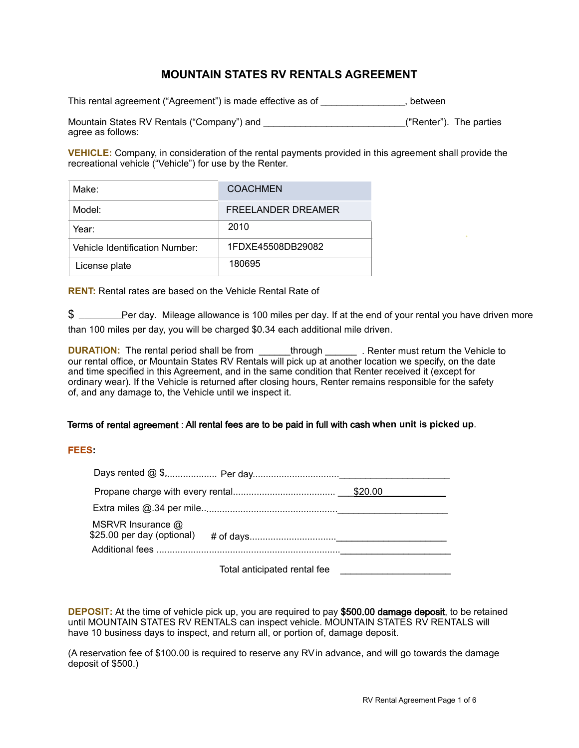# **MOUNTAIN STATES RV RENTALS AGREEMENT**

This rental agreement ("Agreement") is made effective as of state and set all performance the set of the set of

Mountain States RV Rentals ("Company") and **Company** 2014 12:00 ["Renter"). The parties agree as follows:

VEHICLE: Company, in consideration of the rental payments provided in this agreement shall provide the recreational vehicle ("Vehicle") for use by the Renter.

| Make:                          | <b>COACHMEN</b>    |
|--------------------------------|--------------------|
| Model:                         | FREELANDER DREAMER |
| Year:                          | 2010               |
| Vehicle Identification Number: | 1FDXE45508DB29082  |
| License plate                  | 180695             |

**RENT:** Rental rates are based on the Vehicle Rental Rate of

 $\$$  \_\_\_\_\_\_\_\_Per day. Mileage allowance is 100 miles per day. If at the end of your rental you have driven more than 100 miles per day, you will be charged \$0.34 each additional mile driven.

**DURATION:** The rental period shall be from through . Renter must return the Vehicle to our rental office, or Mountain States RV Rentals will pick up at another location we specify, on the date and time specified in this Agreement, and in the same condition that Renter received it (except for ordinary wear). If the Vehicle is returned after closing hours, Renter remains responsible for the safety of, and any damage to, the Vehicle until we inspect it.

### Terms of rental agreement : All rental fees are to be paid in full with cash when unit is picked up.

### **FEES**

| MSRVR Insurance @<br>\$25.00 per day (optional) |                              |  |
|-------------------------------------------------|------------------------------|--|
|                                                 |                              |  |
|                                                 | Total anticipated rental fee |  |

**DEPOSIT:** At the time of vehicle pick up, you are required to pay \$500.00 damage deposit, to be retained until MOUNTAIN STATES RV RENTALS can inspect vehicle. MOUNTAIN STATES RV RENTALS will have 10 business days to inspect, and return all, or portion of, damage deposit.

(A reservation fee of \$100.00 is required to reserve any RV in advance, and will go towards the damage deposit of \$500.)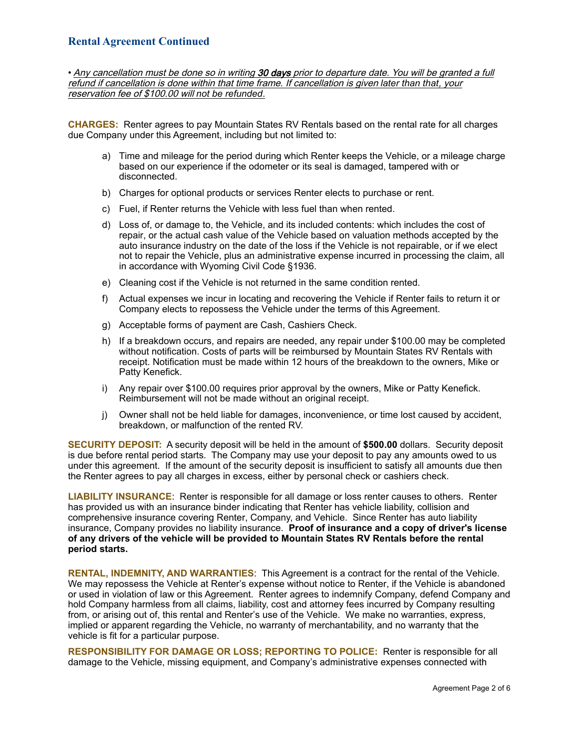• Any cancellation must be done so in writing 30 days prior to departure date. You will be granted a full refund if cancellation is done within that time frame. If cancellation is given *later than that*, your reservation fee of \$100.00 will *not be refunded*.

**CHARGES:** Renter agrees to pay Mountain States RV Rentals based on the rental rate for all charges due Company under this Agreement, including but not limited to:

- a) Time and mileage for the period during which Renter keeps the Vehicle, or a mileage charge based on our experience if the odometer or its seal is damaged, tampered with or disconnected.
- b) Charges for optional products or services Renter elects to purchase or rent.
- c) Fuel, if Renter returns the Vehicle with less fuel than when rented.
- d) Loss of, or damage to, the Vehicle, and its included contents: which includes the cost of repair, or the actual cash value of the Vehicle based on valuation methods accepted by the auto insurance industry on the date of the loss if the Vehicle is not repairable, or if we elect not to repair the Vehicle, plus an administrative expense incurred in processing the claim, all in accordance with Wyoming Civil Code §1936.
- e) Cleaning cost if the Vehicle is not returned in the same condition rented.
- f) Actual expenses we incur in locating and recovering the Vehicle if Renter fails to return it or Company elects to repossess the Vehicle under the terms of this Agreement.
- g) Acceptable forms of payment are Cash, Cashiers Check.
- h) If a breakdown occurs, and repairs are needed, any repair under \$100.00 may be completed without notification. Costs of parts will be reimbursed by Mountain States RV Rentals with receipt. Notification must be made within 12 hours of the breakdown to the owners, Mike or Patty Kenefick.
- i) Any repair over \$100.00 requires prior approval by the owners, Mike or Patty Kenefick. Reimbursement will not be made without an original receipt.
- j) Owner shall not be held liable for damages, inconvenience, or time lost caused by accident, breakdown, or malfunction of the rented RV.

**SECURITY DEPOSIT:** A security deposit will be held in the amount of **\$500.00** dollars. Security deposit is due before rental period starts. The Company may use your deposit to pay any amounts owed to us under this agreement. If the amount of the security deposit is insufficient to satisfy all amounts due then the Renter agrees to pay all charges in excess, either by personal check or cashiers check.

**LIABILITY INSURANCE**: Renter is responsible for all damage or loss renter causes to others. Renter has provided us with an insurance binder indicating that Renter has vehicle liability, collision and comprehensive insurance covering Renter, Company, and Vehicle. Since Renter has auto liability insurance, Company provides no liability insurance. **Proof of insurance and a copy of driver's license of any drivers of the vehicle will be provided to Mountain States RV Rentals before the rental period starts.** 

**RENTAL, INDEMNITY, AND WARRANTIES**: This Agreement is a contract for the rental of the Vehicle. We may repossess the Vehicle at Renter's expense without notice to Renter, if the Vehicle is abandoned or used in violation of law or this Agreement. Renter agrees to indemnify Company, defend Company and hold Company harmless from all claims, liability, cost and attorney fees incurred by Company resulting from, or arising out of, this rental and Renter's use of the Vehicle. We make no warranties, express, implied or apparent regarding the Vehicle, no warranty of merchantability, and no warranty that the vehicle is fit for a particular purpose.

**RESPONSIBILITY FOR DAMAGE OR LOSS; REPORTING TO POLICE:** Renter is responsible for all damage to the Vehicle, missing equipment, and Company's administrative expenses connected with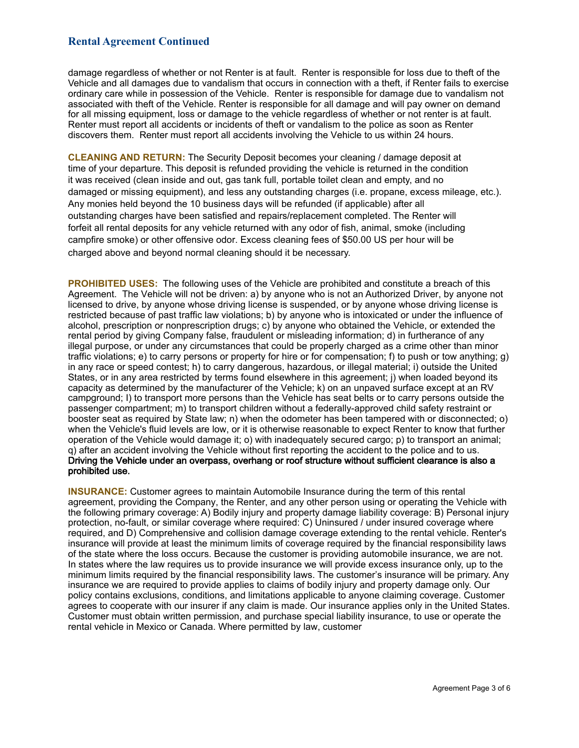damage regardless of whether or not Renter is at fault. Renter is responsible for loss due to theft of the Vehicle and all damages due to vandalism that occurs in connection with a theft, if Renter fails to exercise ordinary care while in possession of the Vehicle. Renter is responsible for damage due to vandalism not associated with theft of the Vehicle. Renter is responsible for all damage and will pay owner on demand for all missing equipment, loss or damage to the vehicle regardless of whether or not renter is at fault. Renter must report all accidents or incidents of theft or vandalism to the police as soon as Renter discovers them. Renter must report all accidents involving the Vehicle to us within 24 hours.

**CLEANING AND RETURN:** The Security Deposit becomes your cleaning / damage deposit at time of your departure. This deposit is refunded providing the vehicle is returned in the condition it was received (clean inside and out, gas tank full, portable toilet clean and empty, and no damaged or missing equipment), and less any outstanding charges (i.e. propane, excess mileage, etc.). Any monies held beyond the 10 business days will be refunded (if applicable) after all outstanding charges have been satisfied and repairs/replacement completed. The Renter will forfeit all rental deposits for any vehicle returned with any odor of fish, animal, smoke (including campfire smoke) or other offensive odor. Excess cleaning fees of \$50.00 US per hour will be charged above and beyond normal cleaning should it be necessary.

**PROHIBITED USES:** The following uses of the Vehicle are prohibited and constitute a breach of this Agreement. The Vehicle will not be driven: a) by anyone who is not an Authorized Driver, by anyone not licensed to drive, by anyone whose driving license is suspended, or by anyone whose driving license is restricted because of past traffic law violations; b) by anyone who is intoxicated or under the influence of alcohol, prescription or nonprescription drugs; c) by anyone who obtained the Vehicle, or extended the rental period by giving Company false, fraudulent or misleading information; d) in furtherance of any illegal purpose, or under any circumstances that could be properly charged as a crime other than minor traffic violations; e) to carry persons or property for hire or for compensation; f) to push or tow anything; g) in any race or speed contest; h) to carry dangerous, hazardous, or illegal material; i) outside the United States, or in any area restricted by terms found elsewhere in this agreement; j) when loaded beyond its capacity as determined by the manufacturer of the Vehicle; k) on an unpaved surface except at an RV campground; I) to transport more persons than the Vehicle has seat belts or to carry persons outside the passenger compartment; m) to transport children without a federally-approved child safety restraint or booster seat as required by State law; n) when the odometer has been tampered with or disconnected; o) when the Vehicle's fluid levels are low, or it is otherwise reasonable to expect Renter to know that further operation of the Vehicle would damage it; o) with inadequately secured cargo; p) to transport an animal; q) after an accident involving the Vehicle without first reporting the accident to the police and to us. Driving the Vehicle under an overpass, overhang or roof structure without sufficient clearance is also a prohibited use.

**INSURANCE:** Customer agrees to maintain Automobile Insurance during the term of this rental agreement, providing the Company, the Renter, and any other person using or operating the Vehicle with the following primary coverage: A) Bodily injury and property damage liability coverage: B) Personal injury protection, no-fault, or similar coverage where required: C) Uninsured / under insured coverage where required, and D) Comprehensive and collision damage coverage extending to the rental vehicle. Renter's insurance will provide at least the minimum limits of coverage required by the financial responsibility laws of the state where the loss occurs. Because the customer is providing automobile insurance, we are not. In states where the law requires us to provide insurance we will provide excess insurance only, up to the minimum limits required by the financial responsibility laws. The customer's insurance will be primary. Any insurance we are required to provide applies to claims of bodily injury and property damage only. Our policy contains exclusions, conditions, and limitations applicable to anyone claiming coverage. Customer agrees to cooperate with our insurer if any claim is made. Our insurance applies only in the United States. Customer must obtain written permission, and purchase special liability insurance, to use or operate the rental vehicle in Mexico or Canada. Where permitted by law, customer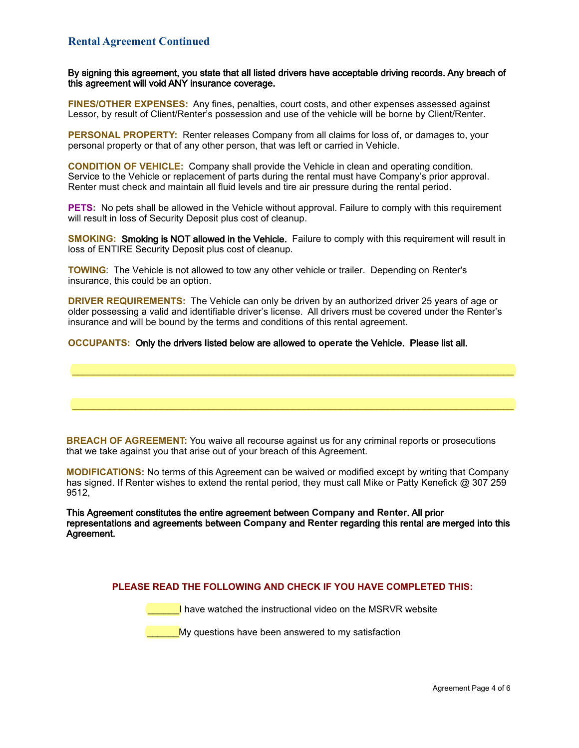By signing this agreement, you state that all listed drivers have acceptable driving records. Any breach of this agreement will void ANY insurance coverage.

FINES/OTHER EXPENSES: Any fines, penalties, court costs, and other expenses assessed against Lessor, by result of Client/Renter's possession and use of the vehicle will be borne by Client/Renter.

**PERSONAL PROPERTY:** Renter releases Company from all claims for loss of, or damages to, your personal property or that of any other person, that was left or carried in Vehicle.

**CONDITION OF VEHICLE:** Company shall provide the Vehicle in clean and operating condition. Service to the Vehicle or replacement of parts during the rental must have Company's prior approval. Renter must check and maintain all fluid levels and tire air pressure during the rental period.

PETS: No pets shall be allowed in the Vehicle without approval. Failure to comply with this requirement will result in loss of Security Deposit plus cost of cleanup.

SMOKING: Smoking is NOT allowed in the Vehicle. Failure to comply with this requirement will result in loss of ENTIRE Security Deposit plus cost of cleanup.

TOWING: The Vehicle is not allowed to tow any other vehicle or trailer. Depending on Renter's insurance, this could be an option.

**DRIVER REQUIREMENTS:** The Vehicle can only be driven by an authorized driver 25 years of age or older possessing a valid and identifiable driver's license. All drivers must be covered under the Renter's insurance and will be bound by the terms and conditions of this rental agreement.

OCCUPANTS: Only the drivers listed below are allowed to operate the Vehicle. Please list all.

**BREACH OF AGREEMENT:** You waive all recourse against us for any criminal reports or prosecutions that we take against you that arise out of your breach of this Agreement.

**MODIFICATIONS:** No terms of this Agreement can be waived or modified except by writing that Company has signed. If Renter wishes to extend the rental period, they must call Mike or Patty Kenefick @ 307 259 9512.

This Agreement constitutes the entire agreement between Company and Renter. All prior representations and agreements between Company and Renter regarding this rental are merged into this Agreement.

PLEASE READ THE FOLLOWING AND CHECK IF YOU HAVE COMPLETED THIS:

**Example 20** have watched the instructional video on the MSRVR website

My questions have been answered to my satisfaction